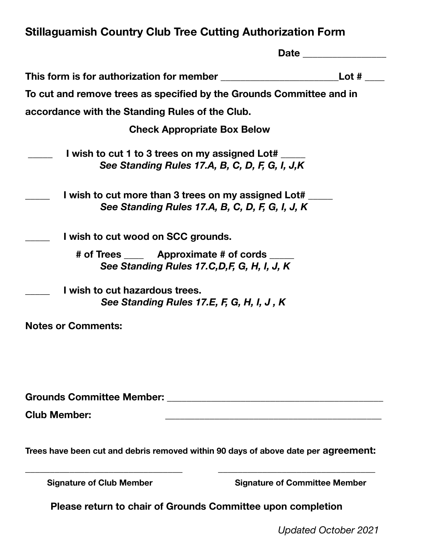## **Stillaguamish Country Club Tree Cutting Authorization Form**

|                                                                                                        | <b>Date</b>                          |
|--------------------------------------------------------------------------------------------------------|--------------------------------------|
| This form is for authorization for member                                                              | Lot $#$                              |
| To cut and remove trees as specified by the Grounds Committee and in                                   |                                      |
| accordance with the Standing Rules of the Club.                                                        |                                      |
| <b>Check Appropriate Box Below</b>                                                                     |                                      |
| I wish to cut 1 to 3 trees on my assigned Lot#<br>See Standing Rules 17.A, B, C, D, F, G, I, J,K       |                                      |
| I wish to cut more than 3 trees on my assigned Lot#<br>See Standing Rules 17.A, B, C, D, F, G, I, J, K |                                      |
| I wish to cut wood on SCC grounds.                                                                     |                                      |
| # of Trees Approximate # of cords<br>See Standing Rules 17.C, D, F, G, H, I, J, K                      |                                      |
| I wish to cut hazardous trees.<br>See Standing Rules 17.E, F, G, H, I, J, K                            |                                      |
| <b>Notes or Comments:</b>                                                                              |                                      |
|                                                                                                        |                                      |
|                                                                                                        |                                      |
| <b>Club Member:</b>                                                                                    |                                      |
| Trees have been cut and debris removed within 90 days of above date per agreement:                     |                                      |
| <b>Signature of Club Member</b>                                                                        | <b>Signature of Committee Member</b> |

**Please return to chair of Grounds Committee upon completion** 

*Updated October 2021*